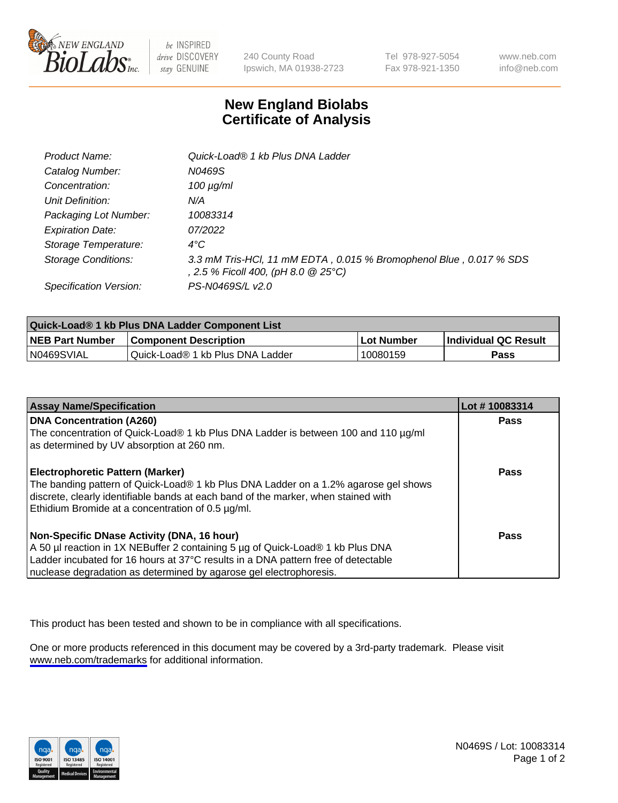

be INSPIRED drive DISCOVERY stay GENUINE

240 County Road Ipswich, MA 01938-2723 Tel 978-927-5054 Fax 978-921-1350

www.neb.com info@neb.com

## **New England Biolabs Certificate of Analysis**

| Product Name:           | Quick-Load® 1 kb Plus DNA Ladder                                                                          |
|-------------------------|-----------------------------------------------------------------------------------------------------------|
| Catalog Number:         | N0469S                                                                                                    |
| Concentration:          | $100 \mu g/ml$                                                                                            |
| Unit Definition:        | N/A                                                                                                       |
| Packaging Lot Number:   | 10083314                                                                                                  |
| <b>Expiration Date:</b> | 07/2022                                                                                                   |
| Storage Temperature:    | $4^{\circ}$ C                                                                                             |
| Storage Conditions:     | 3.3 mM Tris-HCl, 11 mM EDTA, 0.015 % Bromophenol Blue, 0.017 % SDS<br>, 2.5 % Ficoll 400, (pH 8.0 @ 25°C) |
| Specification Version:  | PS-N0469S/L v2.0                                                                                          |

| Quick-Load® 1 kb Plus DNA Ladder Component List |                                  |            |                             |  |
|-------------------------------------------------|----------------------------------|------------|-----------------------------|--|
| <b>NEB Part Number</b>                          | <b>Component Description</b>     | Lot Number | <b>Individual QC Result</b> |  |
| N0469SVIAL                                      | Quick-Load® 1 kb Plus DNA Ladder | 10080159   | Pass                        |  |

| <b>Assay Name/Specification</b>                                                                                                                                                                                                                                                         | Lot #10083314 |
|-----------------------------------------------------------------------------------------------------------------------------------------------------------------------------------------------------------------------------------------------------------------------------------------|---------------|
| <b>DNA Concentration (A260)</b><br>The concentration of Quick-Load® 1 kb Plus DNA Ladder is between 100 and 110 µg/ml<br>as determined by UV absorption at 260 nm.                                                                                                                      | <b>Pass</b>   |
| <b>Electrophoretic Pattern (Marker)</b><br>The banding pattern of Quick-Load® 1 kb Plus DNA Ladder on a 1.2% agarose gel shows<br>discrete, clearly identifiable bands at each band of the marker, when stained with<br>Ethidium Bromide at a concentration of 0.5 µg/ml.               | Pass          |
| Non-Specific DNase Activity (DNA, 16 hour)<br>A 50 µl reaction in 1X NEBuffer 2 containing 5 µg of Quick-Load® 1 kb Plus DNA<br>Ladder incubated for 16 hours at 37°C results in a DNA pattern free of detectable<br>nuclease degradation as determined by agarose gel electrophoresis. | Pass          |

This product has been tested and shown to be in compliance with all specifications.

One or more products referenced in this document may be covered by a 3rd-party trademark. Please visit <www.neb.com/trademarks>for additional information.